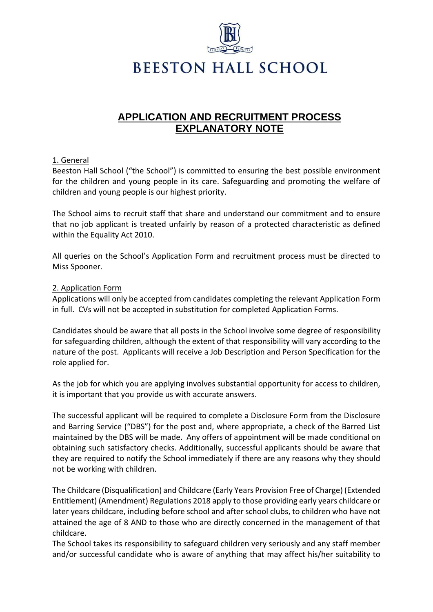

**BEESTON HALL SCHOOL** 

# **APPLICATION AND RECRUITMENT PROCESS EXPLANATORY NOTE**

## 1. General

Beeston Hall School ("the School") is committed to ensuring the best possible environment for the children and young people in its care. Safeguarding and promoting the welfare of children and young people is our highest priority.

The School aims to recruit staff that share and understand our commitment and to ensure that no job applicant is treated unfairly by reason of a protected characteristic as defined within the Equality Act 2010.

All queries on the School's Application Form and recruitment process must be directed to Miss Spooner.

### 2. Application Form

Applications will only be accepted from candidates completing the relevant Application Form in full. CVs will not be accepted in substitution for completed Application Forms.

Candidates should be aware that all posts in the School involve some degree of responsibility for safeguarding children, although the extent of that responsibility will vary according to the nature of the post. Applicants will receive a Job Description and Person Specification for the role applied for.

As the job for which you are applying involves substantial opportunity for access to children, it is important that you provide us with accurate answers.

The successful applicant will be required to complete a Disclosure Form from the Disclosure and Barring Service ("DBS") for the post and, where appropriate, a check of the Barred List maintained by the DBS will be made. Any offers of appointment will be made conditional on obtaining such satisfactory checks. Additionally, successful applicants should be aware that they are required to notify the School immediately if there are any reasons why they should not be working with children.

The Childcare (Disqualification) and Childcare (Early Years Provision Free of Charge) (Extended Entitlement) (Amendment) Regulations 2018 apply to those providing early years childcare or later years childcare, including before school and after school clubs, to children who have not attained the age of 8 AND to those who are directly concerned in the management of that childcare.

The School takes its responsibility to safeguard children very seriously and any staff member and/or successful candidate who is aware of anything that may affect his/her suitability to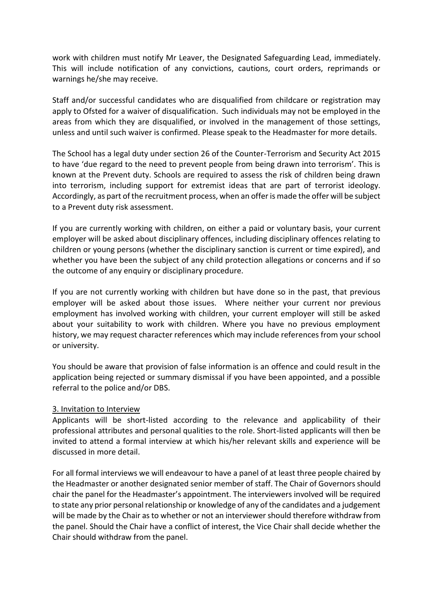work with children must notify Mr Leaver, the Designated Safeguarding Lead, immediately. This will include notification of any convictions, cautions, court orders, reprimands or warnings he/she may receive.

Staff and/or successful candidates who are disqualified from childcare or registration may apply to Ofsted for a waiver of disqualification. Such individuals may not be employed in the areas from which they are disqualified, or involved in the management of those settings, unless and until such waiver is confirmed. Please speak to the Headmaster for more details.

The School has a legal duty under section 26 of the Counter-Terrorism and Security Act 2015 to have 'due regard to the need to prevent people from being drawn into terrorism'. This is known at the Prevent duty. Schools are required to assess the risk of children being drawn into terrorism, including support for extremist ideas that are part of terrorist ideology. Accordingly, as part of the recruitment process, when an offer is made the offer will be subject to a Prevent duty risk assessment.

If you are currently working with children, on either a paid or voluntary basis, your current employer will be asked about disciplinary offences, including disciplinary offences relating to children or young persons (whether the disciplinary sanction is current or time expired), and whether you have been the subject of any child protection allegations or concerns and if so the outcome of any enquiry or disciplinary procedure.

If you are not currently working with children but have done so in the past, that previous employer will be asked about those issues. Where neither your current nor previous employment has involved working with children, your current employer will still be asked about your suitability to work with children. Where you have no previous employment history, we may request character references which may include references from your school or university.

You should be aware that provision of false information is an offence and could result in the application being rejected or summary dismissal if you have been appointed, and a possible referral to the police and/or DBS.

### 3. Invitation to Interview

Applicants will be short-listed according to the relevance and applicability of their professional attributes and personal qualities to the role. Short-listed applicants will then be invited to attend a formal interview at which his/her relevant skills and experience will be discussed in more detail.

For all formal interviews we will endeavour to have a panel of at least three people chaired by the Headmaster or another designated senior member of staff. The Chair of Governors should chair the panel for the Headmaster's appointment. The interviewers involved will be required to state any prior personal relationship or knowledge of any of the candidates and a judgement will be made by the Chair as to whether or not an interviewer should therefore withdraw from the panel. Should the Chair have a conflict of interest, the Vice Chair shall decide whether the Chair should withdraw from the panel.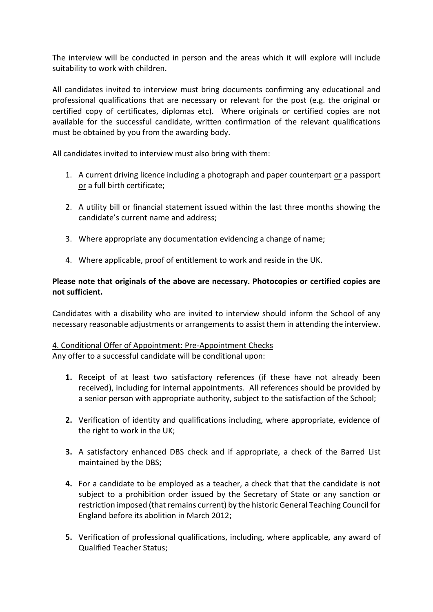The interview will be conducted in person and the areas which it will explore will include suitability to work with children.

All candidates invited to interview must bring documents confirming any educational and professional qualifications that are necessary or relevant for the post (e.g. the original or certified copy of certificates, diplomas etc). Where originals or certified copies are not available for the successful candidate, written confirmation of the relevant qualifications must be obtained by you from the awarding body.

All candidates invited to interview must also bring with them:

- 1. A current driving licence including a photograph and paper counterpart or a passport or a full birth certificate;
- 2. A utility bill or financial statement issued within the last three months showing the candidate's current name and address;
- 3. Where appropriate any documentation evidencing a change of name;
- 4. Where applicable, proof of entitlement to work and reside in the UK.

# **Please note that originals of the above are necessary. Photocopies or certified copies are not sufficient.**

Candidates with a disability who are invited to interview should inform the School of any necessary reasonable adjustments or arrangements to assist them in attending the interview.

# 4. Conditional Offer of Appointment: Pre-Appointment Checks Any offer to a successful candidate will be conditional upon:

- **1.** Receipt of at least two satisfactory references (if these have not already been received), including for internal appointments. All references should be provided by a senior person with appropriate authority, subject to the satisfaction of the School;
- **2.** Verification of identity and qualifications including, where appropriate, evidence of the right to work in the UK;
- **3.** A satisfactory enhanced DBS check and if appropriate, a check of the Barred List maintained by the DBS;
- **4.** For a candidate to be employed as a teacher, a check that that the candidate is not subject to a prohibition order issued by the Secretary of State or any sanction or restriction imposed (that remains current) by the historic General Teaching Council for England before its abolition in March 2012;
- **5.** Verification of professional qualifications, including, where applicable, any award of Qualified Teacher Status;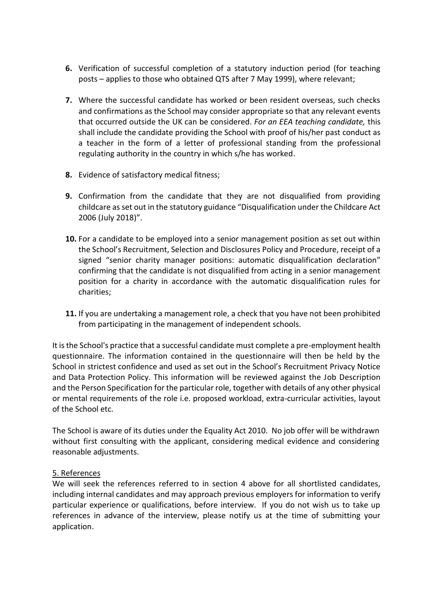- **6.** Verification of successful completion of a statutory induction period (for teaching posts – applies to those who obtained QTS after 7 May 1999), where relevant;
- **7.** Where the successful candidate has worked or been resident overseas, such checks and confirmations as the School may consider appropriate so that any relevant events that occurred outside the UK can be considered. *For an EEA teaching candidate,* this shall include the candidate providing the School with proof of his/her past conduct as a teacher in the form of a letter of professional standing from the professional regulating authority in the country in which s/he has worked.
- **8.** Evidence of satisfactory medical fitness;
- **9.** Confirmation from the candidate that they are not disqualified from providing childcare as set out in the statutory guidance "Disqualification under the Childcare Act 2006 (July 2018)".
- **10.** For a candidate to be employed into a senior management position as set out within the School's Recruitment, Selection and Disclosures Policy and Procedure, receipt of a signed "senior charity manager positions: automatic disqualification declaration" confirming that the candidate is not disqualified from acting in a senior management position for a charity in accordance with the automatic disqualification rules for charities;
- **11.** If you are undertaking a management role, a check that you have not been prohibited from participating in the management of independent schools.

It is the School's practice that a successful candidate must complete a pre-employment health questionnaire. The information contained in the questionnaire will then be held by the School in strictest confidence and used as set out in the School's Recruitment Privacy Notice and Data Protection Policy. This information will be reviewed against the Job Description and the Person Specification for the particular role, together with details of any other physical or mental requirements of the role i.e. proposed workload, extra-curricular activities, layout of the School etc.

The School is aware of its duties under the Equality Act 2010. No job offer will be withdrawn without first consulting with the applicant, considering medical evidence and considering reasonable adjustments.

### 5. References

We will seek the references referred to in section 4 above for all shortlisted candidates, including internal candidates and may approach previous employers for information to verify particular experience or qualifications, before interview. If you do not wish us to take up references in advance of the interview, please notify us at the time of submitting your application.